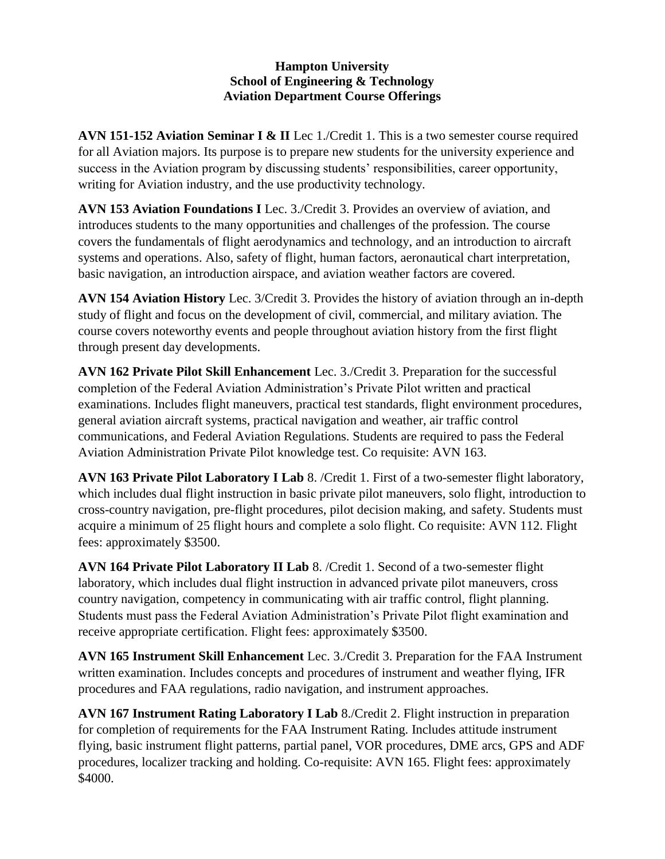## **Hampton University School of Engineering & Technology Aviation Department Course Offerings**

**AVN 151-152 Aviation Seminar I & II** Lec 1./Credit 1. This is a two semester course required for all Aviation majors. Its purpose is to prepare new students for the university experience and success in the Aviation program by discussing students' responsibilities, career opportunity, writing for Aviation industry, and the use productivity technology.

**AVN 153 Aviation Foundations I** Lec. 3./Credit 3. Provides an overview of aviation, and introduces students to the many opportunities and challenges of the profession. The course covers the fundamentals of flight aerodynamics and technology, and an introduction to aircraft systems and operations. Also, safety of flight, human factors, aeronautical chart interpretation, basic navigation, an introduction airspace, and aviation weather factors are covered.

**AVN 154 Aviation History** Lec. 3/Credit 3. Provides the history of aviation through an in-depth study of flight and focus on the development of civil, commercial, and military aviation. The course covers noteworthy events and people throughout aviation history from the first flight through present day developments.

**AVN 162 Private Pilot Skill Enhancement** Lec. 3./Credit 3. Preparation for the successful completion of the Federal Aviation Administration's Private Pilot written and practical examinations. Includes flight maneuvers, practical test standards, flight environment procedures, general aviation aircraft systems, practical navigation and weather, air traffic control communications, and Federal Aviation Regulations. Students are required to pass the Federal Aviation Administration Private Pilot knowledge test. Co requisite: AVN 163.

**AVN 163 Private Pilot Laboratory I Lab** 8. /Credit 1. First of a two-semester flight laboratory, which includes dual flight instruction in basic private pilot maneuvers, solo flight, introduction to cross-country navigation, pre-flight procedures, pilot decision making, and safety. Students must acquire a minimum of 25 flight hours and complete a solo flight. Co requisite: AVN 112. Flight fees: approximately \$3500.

**AVN 164 Private Pilot Laboratory II Lab** 8. /Credit 1. Second of a two-semester flight laboratory, which includes dual flight instruction in advanced private pilot maneuvers, cross country navigation, competency in communicating with air traffic control, flight planning. Students must pass the Federal Aviation Administration's Private Pilot flight examination and receive appropriate certification. Flight fees: approximately \$3500.

**AVN 165 Instrument Skill Enhancement** Lec. 3./Credit 3. Preparation for the FAA Instrument written examination. Includes concepts and procedures of instrument and weather flying, IFR procedures and FAA regulations, radio navigation, and instrument approaches.

**AVN 167 Instrument Rating Laboratory I Lab** 8./Credit 2. Flight instruction in preparation for completion of requirements for the FAA Instrument Rating. Includes attitude instrument flying, basic instrument flight patterns, partial panel, VOR procedures, DME arcs, GPS and ADF procedures, localizer tracking and holding. Co-requisite: AVN 165. Flight fees: approximately \$4000.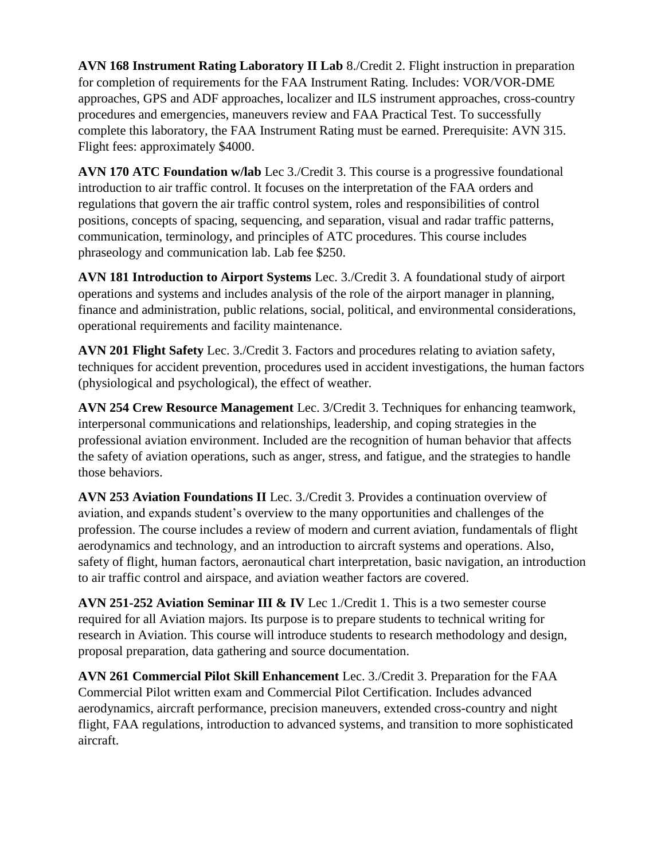**AVN 168 Instrument Rating Laboratory II Lab** 8./Credit 2. Flight instruction in preparation for completion of requirements for the FAA Instrument Rating. Includes: VOR/VOR-DME approaches, GPS and ADF approaches, localizer and ILS instrument approaches, cross-country procedures and emergencies, maneuvers review and FAA Practical Test. To successfully complete this laboratory, the FAA Instrument Rating must be earned. Prerequisite: AVN 315. Flight fees: approximately \$4000.

**AVN 170 ATC Foundation w/lab** Lec 3./Credit 3. This course is a progressive foundational introduction to air traffic control. It focuses on the interpretation of the FAA orders and regulations that govern the air traffic control system, roles and responsibilities of control positions, concepts of spacing, sequencing, and separation, visual and radar traffic patterns, communication, terminology, and principles of ATC procedures. This course includes phraseology and communication lab. Lab fee \$250.

**AVN 181 Introduction to Airport Systems** Lec. 3./Credit 3. A foundational study of airport operations and systems and includes analysis of the role of the airport manager in planning, finance and administration, public relations, social, political, and environmental considerations, operational requirements and facility maintenance.

**AVN 201 Flight Safety** Lec. 3./Credit 3. Factors and procedures relating to aviation safety, techniques for accident prevention, procedures used in accident investigations, the human factors (physiological and psychological), the effect of weather.

**AVN 254 Crew Resource Management** Lec. 3/Credit 3. Techniques for enhancing teamwork, interpersonal communications and relationships, leadership, and coping strategies in the professional aviation environment. Included are the recognition of human behavior that affects the safety of aviation operations, such as anger, stress, and fatigue, and the strategies to handle those behaviors.

**AVN 253 Aviation Foundations II** Lec. 3./Credit 3. Provides a continuation overview of aviation, and expands student's overview to the many opportunities and challenges of the profession. The course includes a review of modern and current aviation, fundamentals of flight aerodynamics and technology, and an introduction to aircraft systems and operations. Also, safety of flight, human factors, aeronautical chart interpretation, basic navigation, an introduction to air traffic control and airspace, and aviation weather factors are covered.

**AVN 251-252 Aviation Seminar III & IV** Lec 1./Credit 1. This is a two semester course required for all Aviation majors. Its purpose is to prepare students to technical writing for research in Aviation. This course will introduce students to research methodology and design, proposal preparation, data gathering and source documentation.

**AVN 261 Commercial Pilot Skill Enhancement** Lec. 3./Credit 3. Preparation for the FAA Commercial Pilot written exam and Commercial Pilot Certification. Includes advanced aerodynamics, aircraft performance, precision maneuvers, extended cross-country and night flight, FAA regulations, introduction to advanced systems, and transition to more sophisticated aircraft.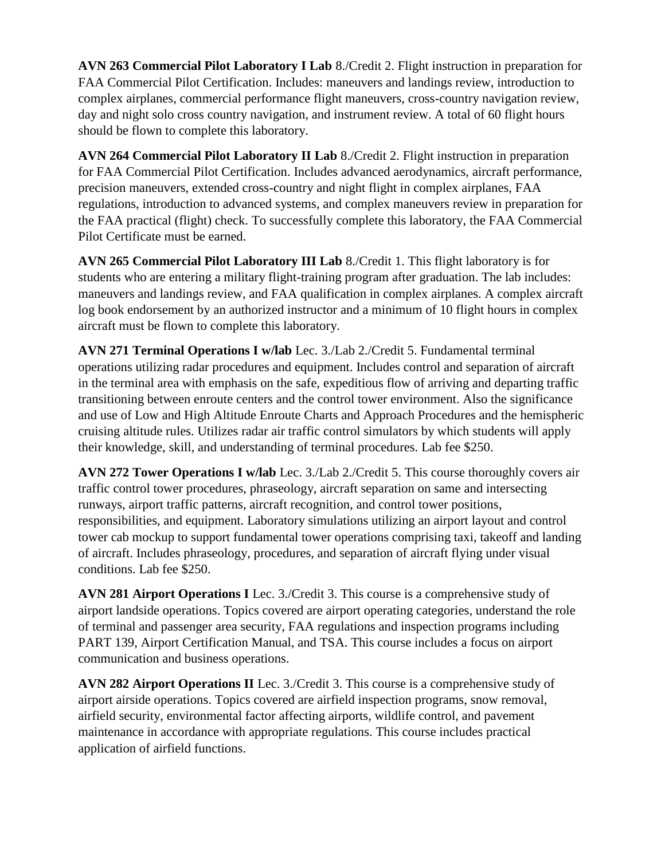**AVN 263 Commercial Pilot Laboratory I Lab** 8./Credit 2. Flight instruction in preparation for FAA Commercial Pilot Certification. Includes: maneuvers and landings review, introduction to complex airplanes, commercial performance flight maneuvers, cross-country navigation review, day and night solo cross country navigation, and instrument review. A total of 60 flight hours should be flown to complete this laboratory.

**AVN 264 Commercial Pilot Laboratory II Lab** 8./Credit 2. Flight instruction in preparation for FAA Commercial Pilot Certification. Includes advanced aerodynamics, aircraft performance, precision maneuvers, extended cross-country and night flight in complex airplanes, FAA regulations, introduction to advanced systems, and complex maneuvers review in preparation for the FAA practical (flight) check. To successfully complete this laboratory, the FAA Commercial Pilot Certificate must be earned.

**AVN 265 Commercial Pilot Laboratory III Lab** 8./Credit 1. This flight laboratory is for students who are entering a military flight-training program after graduation. The lab includes: maneuvers and landings review, and FAA qualification in complex airplanes. A complex aircraft log book endorsement by an authorized instructor and a minimum of 10 flight hours in complex aircraft must be flown to complete this laboratory.

**AVN 271 Terminal Operations I w/lab** Lec. 3./Lab 2./Credit 5. Fundamental terminal operations utilizing radar procedures and equipment. Includes control and separation of aircraft in the terminal area with emphasis on the safe, expeditious flow of arriving and departing traffic transitioning between enroute centers and the control tower environment. Also the significance and use of Low and High Altitude Enroute Charts and Approach Procedures and the hemispheric cruising altitude rules. Utilizes radar air traffic control simulators by which students will apply their knowledge, skill, and understanding of terminal procedures. Lab fee \$250.

**AVN 272 Tower Operations I w/lab** Lec. 3./Lab 2./Credit 5. This course thoroughly covers air traffic control tower procedures, phraseology, aircraft separation on same and intersecting runways, airport traffic patterns, aircraft recognition, and control tower positions, responsibilities, and equipment. Laboratory simulations utilizing an airport layout and control tower cab mockup to support fundamental tower operations comprising taxi, takeoff and landing of aircraft. Includes phraseology, procedures, and separation of aircraft flying under visual conditions. Lab fee \$250.

**AVN 281 Airport Operations I** Lec. 3./Credit 3. This course is a comprehensive study of airport landside operations. Topics covered are airport operating categories, understand the role of terminal and passenger area security, FAA regulations and inspection programs including PART 139, Airport Certification Manual, and TSA. This course includes a focus on airport communication and business operations.

**AVN 282 Airport Operations II** Lec. 3./Credit 3. This course is a comprehensive study of airport airside operations. Topics covered are airfield inspection programs, snow removal, airfield security, environmental factor affecting airports, wildlife control, and pavement maintenance in accordance with appropriate regulations. This course includes practical application of airfield functions.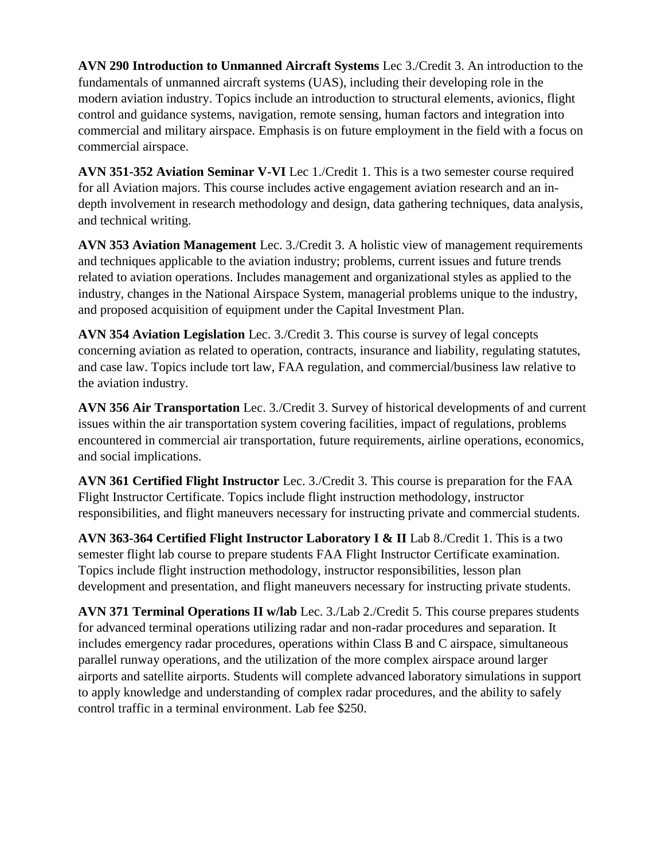**AVN 290 Introduction to Unmanned Aircraft Systems** Lec 3./Credit 3. An introduction to the fundamentals of unmanned aircraft systems (UAS), including their developing role in the modern aviation industry. Topics include an introduction to structural elements, avionics, flight control and guidance systems, navigation, remote sensing, human factors and integration into commercial and military airspace. Emphasis is on future employment in the field with a focus on commercial airspace.

**AVN 351-352 Aviation Seminar V-VI** Lec 1./Credit 1. This is a two semester course required for all Aviation majors. This course includes active engagement aviation research and an indepth involvement in research methodology and design, data gathering techniques, data analysis, and technical writing.

**AVN 353 Aviation Management** Lec. 3./Credit 3. A holistic view of management requirements and techniques applicable to the aviation industry; problems, current issues and future trends related to aviation operations. Includes management and organizational styles as applied to the industry, changes in the National Airspace System, managerial problems unique to the industry, and proposed acquisition of equipment under the Capital Investment Plan.

**AVN 354 Aviation Legislation** Lec. 3./Credit 3. This course is survey of legal concepts concerning aviation as related to operation, contracts, insurance and liability, regulating statutes, and case law. Topics include tort law, FAA regulation, and commercial/business law relative to the aviation industry.

**AVN 356 Air Transportation** Lec. 3./Credit 3. Survey of historical developments of and current issues within the air transportation system covering facilities, impact of regulations, problems encountered in commercial air transportation, future requirements, airline operations, economics, and social implications.

**AVN 361 Certified Flight Instructor** Lec. 3./Credit 3. This course is preparation for the FAA Flight Instructor Certificate. Topics include flight instruction methodology, instructor responsibilities, and flight maneuvers necessary for instructing private and commercial students.

**AVN 363-364 Certified Flight Instructor Laboratory I & II** Lab 8./Credit 1. This is a two semester flight lab course to prepare students FAA Flight Instructor Certificate examination. Topics include flight instruction methodology, instructor responsibilities, lesson plan development and presentation, and flight maneuvers necessary for instructing private students.

**AVN 371 Terminal Operations II w/lab** Lec. 3./Lab 2./Credit 5. This course prepares students for advanced terminal operations utilizing radar and non-radar procedures and separation. It includes emergency radar procedures, operations within Class B and C airspace, simultaneous parallel runway operations, and the utilization of the more complex airspace around larger airports and satellite airports. Students will complete advanced laboratory simulations in support to apply knowledge and understanding of complex radar procedures, and the ability to safely control traffic in a terminal environment. Lab fee \$250.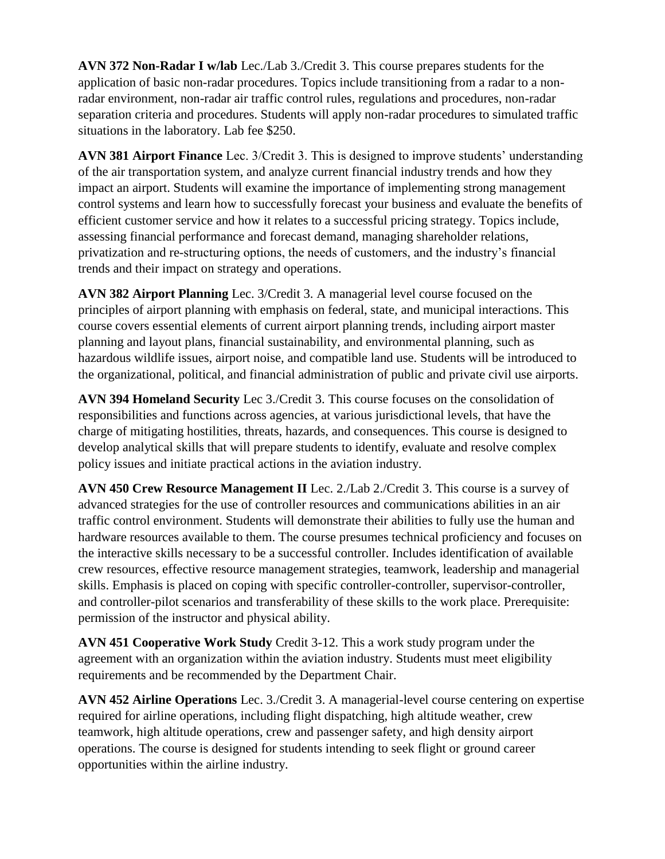**AVN 372 Non-Radar I w/lab** Lec./Lab 3./Credit 3. This course prepares students for the application of basic non-radar procedures. Topics include transitioning from a radar to a nonradar environment, non-radar air traffic control rules, regulations and procedures, non-radar separation criteria and procedures. Students will apply non-radar procedures to simulated traffic situations in the laboratory. Lab fee \$250.

**AVN 381 Airport Finance** Lec. 3/Credit 3. This is designed to improve students' understanding of the air transportation system, and analyze current financial industry trends and how they impact an airport. Students will examine the importance of implementing strong management control systems and learn how to successfully forecast your business and evaluate the benefits of efficient customer service and how it relates to a successful pricing strategy. Topics include, assessing financial performance and forecast demand, managing shareholder relations, privatization and re-structuring options, the needs of customers, and the industry's financial trends and their impact on strategy and operations.

**AVN 382 Airport Planning** Lec. 3/Credit 3. A managerial level course focused on the principles of airport planning with emphasis on federal, state, and municipal interactions. This course covers essential elements of current airport planning trends, including airport master planning and layout plans, financial sustainability, and environmental planning, such as hazardous wildlife issues, airport noise, and compatible land use. Students will be introduced to the organizational, political, and financial administration of public and private civil use airports.

**AVN 394 Homeland Security** Lec 3./Credit 3. This course focuses on the consolidation of responsibilities and functions across agencies, at various jurisdictional levels, that have the charge of mitigating hostilities, threats, hazards, and consequences. This course is designed to develop analytical skills that will prepare students to identify, evaluate and resolve complex policy issues and initiate practical actions in the aviation industry.

**AVN 450 Crew Resource Management II** Lec. 2./Lab 2./Credit 3. This course is a survey of advanced strategies for the use of controller resources and communications abilities in an air traffic control environment. Students will demonstrate their abilities to fully use the human and hardware resources available to them. The course presumes technical proficiency and focuses on the interactive skills necessary to be a successful controller. Includes identification of available crew resources, effective resource management strategies, teamwork, leadership and managerial skills. Emphasis is placed on coping with specific controller-controller, supervisor-controller, and controller-pilot scenarios and transferability of these skills to the work place. Prerequisite: permission of the instructor and physical ability.

**AVN 451 Cooperative Work Study** Credit 3-12. This a work study program under the agreement with an organization within the aviation industry. Students must meet eligibility requirements and be recommended by the Department Chair.

**AVN 452 Airline Operations** Lec. 3./Credit 3. A managerial-level course centering on expertise required for airline operations, including flight dispatching, high altitude weather, crew teamwork, high altitude operations, crew and passenger safety, and high density airport operations. The course is designed for students intending to seek flight or ground career opportunities within the airline industry.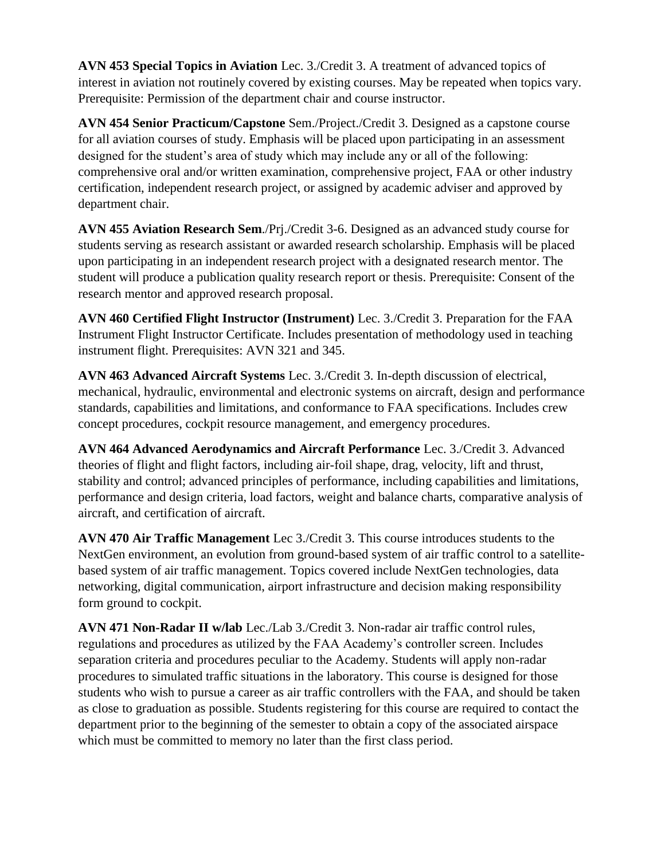**AVN 453 Special Topics in Aviation** Lec. 3./Credit 3. A treatment of advanced topics of interest in aviation not routinely covered by existing courses. May be repeated when topics vary. Prerequisite: Permission of the department chair and course instructor.

**AVN 454 Senior Practicum/Capstone** Sem./Project./Credit 3. Designed as a capstone course for all aviation courses of study. Emphasis will be placed upon participating in an assessment designed for the student's area of study which may include any or all of the following: comprehensive oral and/or written examination, comprehensive project, FAA or other industry certification, independent research project, or assigned by academic adviser and approved by department chair.

**AVN 455 Aviation Research Sem**./Prj./Credit 3-6. Designed as an advanced study course for students serving as research assistant or awarded research scholarship. Emphasis will be placed upon participating in an independent research project with a designated research mentor. The student will produce a publication quality research report or thesis. Prerequisite: Consent of the research mentor and approved research proposal.

**AVN 460 Certified Flight Instructor (Instrument)** Lec. 3./Credit 3. Preparation for the FAA Instrument Flight Instructor Certificate. Includes presentation of methodology used in teaching instrument flight. Prerequisites: AVN 321 and 345.

**AVN 463 Advanced Aircraft Systems** Lec. 3./Credit 3. In-depth discussion of electrical, mechanical, hydraulic, environmental and electronic systems on aircraft, design and performance standards, capabilities and limitations, and conformance to FAA specifications. Includes crew concept procedures, cockpit resource management, and emergency procedures.

**AVN 464 Advanced Aerodynamics and Aircraft Performance** Lec. 3./Credit 3. Advanced theories of flight and flight factors, including air-foil shape, drag, velocity, lift and thrust, stability and control; advanced principles of performance, including capabilities and limitations, performance and design criteria, load factors, weight and balance charts, comparative analysis of aircraft, and certification of aircraft.

**AVN 470 Air Traffic Management** Lec 3./Credit 3. This course introduces students to the NextGen environment, an evolution from ground-based system of air traffic control to a satellitebased system of air traffic management. Topics covered include NextGen technologies, data networking, digital communication, airport infrastructure and decision making responsibility form ground to cockpit.

**AVN 471 Non-Radar II w/lab** Lec./Lab 3./Credit 3. Non-radar air traffic control rules, regulations and procedures as utilized by the FAA Academy's controller screen. Includes separation criteria and procedures peculiar to the Academy. Students will apply non-radar procedures to simulated traffic situations in the laboratory. This course is designed for those students who wish to pursue a career as air traffic controllers with the FAA, and should be taken as close to graduation as possible. Students registering for this course are required to contact the department prior to the beginning of the semester to obtain a copy of the associated airspace which must be committed to memory no later than the first class period.